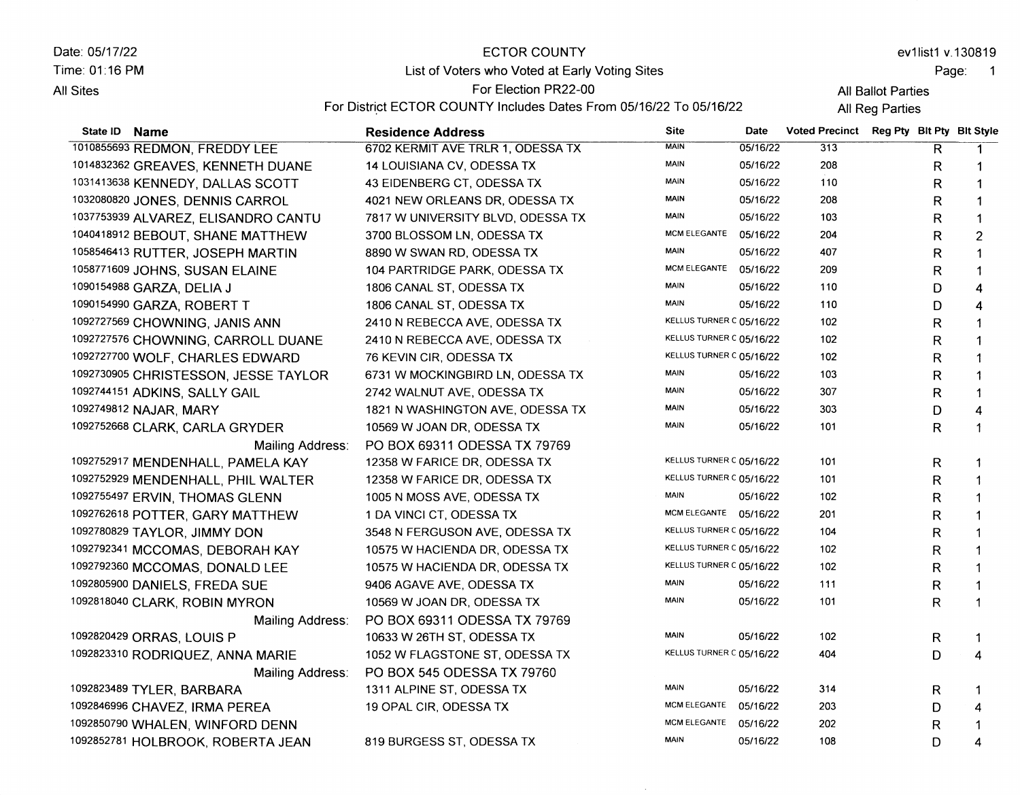| Date: 05/17/22          | ECTOR COUNTY                                                       |             |      |                    | ev1list1 v.130819                        |  |
|-------------------------|--------------------------------------------------------------------|-------------|------|--------------------|------------------------------------------|--|
| Time: 01:16 PM          | List of Voters who Voted at Early Voting Sites                     |             |      |                    | Page:                                    |  |
| All Sites               | For Election PR22-00                                               |             |      | All Ballot Parties |                                          |  |
|                         | For District ECTOR COUNTY Includes Dates From 05/16/22 To 05/16/22 |             |      | All Reg Parties    |                                          |  |
| <b>Name</b><br>State ID | <b>Residence Address</b>                                           | <b>Site</b> | Date |                    | Voted Precinct Reg Pty Blt Pty Blt Style |  |

| 1010855693 REDMON, FREDDY LEE        | 6702 KERMIT AVE TRLR 1, ODESSA TX | <b>MAIN</b>              | 05/16/22 | 313 | $\overline{\mathsf{R}}$ | $\mathbf{1}$            |
|--------------------------------------|-----------------------------------|--------------------------|----------|-----|-------------------------|-------------------------|
| 1014832362 GREAVES, KENNETH DUANE    | 14 LOUISIANA CV, ODESSA TX        | <b>MAIN</b>              | 05/16/22 | 208 | R                       |                         |
| 1031413638 KENNEDY, DALLAS SCOTT     | 43 EIDENBERG CT, ODESSA TX        | <b>MAIN</b>              | 05/16/22 | 110 | R                       | 1                       |
| 1032080820 JONES, DENNIS CARROL      | 4021 NEW ORLEANS DR, ODESSA TX    | <b>MAIN</b>              | 05/16/22 | 208 | R                       | 1                       |
| 1037753939 ALVAREZ, ELISANDRO CANTU  | 7817 W UNIVERSITY BLVD, ODESSA TX | <b>MAIN</b>              | 05/16/22 | 103 | R                       | 1                       |
| 1040418912 BEBOUT, SHANE MATTHEW     | 3700 BLOSSOM LN, ODESSA TX        | <b>MCM ELEGANTE</b>      | 05/16/22 | 204 | R                       | $\overline{c}$          |
| 1058546413 RUTTER, JOSEPH MARTIN     | 8890 W SWAN RD, ODESSA TX         | <b>MAIN</b>              | 05/16/22 | 407 | R                       | 1                       |
| 1058771609 JOHNS, SUSAN ELAINE       | 104 PARTRIDGE PARK, ODESSA TX     | MCM ELEGANTE             | 05/16/22 | 209 | R                       | 1                       |
| 1090154988 GARZA, DELIA J            | 1806 CANAL ST, ODESSA TX          | <b>MAIN</b>              | 05/16/22 | 110 | D                       | 4                       |
| 1090154990 GARZA, ROBERT T           | 1806 CANAL ST, ODESSA TX          | <b>MAIN</b>              | 05/16/22 | 110 | D                       | 4                       |
| 1092727569 CHOWNING, JANIS ANN       | 2410 N REBECCA AVE, ODESSA TX     | KELLUS TURNER C 05/16/22 |          | 102 | R                       | 1                       |
| 1092727576 CHOWNING, CARROLL DUANE   | 2410 N REBECCA AVE, ODESSA TX     | KELLUS TURNER C 05/16/22 |          | 102 | R                       | 1                       |
| 1092727700 WOLF, CHARLES EDWARD      | 76 KEVIN CIR, ODESSA TX           | KELLUS TURNER C 05/16/22 |          | 102 | R                       | $\mathbf 1$             |
| 1092730905 CHRISTESSON, JESSE TAYLOR | 6731 W MOCKINGBIRD LN, ODESSA TX  | <b>MAIN</b>              | 05/16/22 | 103 | R                       | 1                       |
| 1092744151 ADKINS, SALLY GAIL        | 2742 WALNUT AVE, ODESSA TX        | MAIN                     | 05/16/22 | 307 | $\mathsf{R}$            | 1                       |
| 1092749812 NAJAR, MARY               | 1821 N WASHINGTON AVE, ODESSA TX  | <b>MAIN</b>              | 05/16/22 | 303 | D                       | 4                       |
| 1092752668 CLARK, CARLA GRYDER       | 10569 W JOAN DR, ODESSA TX        | <b>MAIN</b>              | 05/16/22 | 101 | R                       | $\mathbf{1}$            |
| Mailing Address:                     | PO BOX 69311 ODESSA TX 79769      |                          |          |     |                         |                         |
| 1092752917 MENDENHALL, PAMELA KAY    | 12358 W FARICE DR, ODESSA TX      | KELLUS TURNER C 05/16/22 |          | 101 | R                       |                         |
| 1092752929 MENDENHALL, PHIL WALTER   | 12358 W FARICE DR, ODESSA TX      | KELLUS TURNER C 05/16/22 |          | 101 | R                       |                         |
| 1092755497 ERVIN, THOMAS GLENN       | 1005 N MOSS AVE, ODESSA TX        | <b>MAIN</b>              | 05/16/22 | 102 | R                       |                         |
| 1092762618 POTTER, GARY MATTHEW      | 1 DA VINCI CT, ODESSA TX          | MCM ELEGANTE 05/16/22    |          | 201 | R                       |                         |
| 1092780829 TAYLOR, JIMMY DON         | 3548 N FERGUSON AVE, ODESSA TX    | KELLUS TURNER C 05/16/22 |          | 104 | $\mathsf{R}$            |                         |
| 1092792341 MCCOMAS, DEBORAH KAY      | 10575 W HACIENDA DR, ODESSA TX    | KELLUS TURNER C 05/16/22 |          | 102 | R                       |                         |
| 1092792360 MCCOMAS, DONALD LEE       | 10575 W HACIENDA DR, ODESSA TX    | KELLUS TURNER C 05/16/22 |          | 102 | R                       |                         |
| 1092805900 DANIELS, FREDA SUE        | 9406 AGAVE AVE, ODESSA TX         | MAIN                     | 05/16/22 | 111 | R                       |                         |
| 1092818040 CLARK, ROBIN MYRON        | 10569 W JOAN DR, ODESSA TX        | <b>MAIN</b>              | 05/16/22 | 101 | R                       |                         |
| Mailing Address:                     | PO BOX 69311 ODESSA TX 79769      |                          |          |     |                         |                         |
| 1092820429 ORRAS, LOUIS P            | 10633 W 26TH ST, ODESSA TX        | <b>MAIN</b>              | 05/16/22 | 102 | R                       | -1                      |
| 1092823310 RODRIQUEZ, ANNA MARIE     | 1052 W FLAGSTONE ST, ODESSA TX    | KELLUS TURNER C 05/16/22 |          | 404 | D                       | 4                       |
| Mailing Address:                     | PO BOX 545 ODESSA TX 79760        |                          |          |     |                         |                         |
| 1092823489 TYLER, BARBARA            | 1311 ALPINE ST, ODESSA TX         | MAIN                     | 05/16/22 | 314 | R                       | -1                      |
| 1092846996 CHAVEZ, IRMA PEREA        | 19 OPAL CIR, ODESSA TX            | <b>MCM ELEGANTE</b>      | 05/16/22 | 203 | D                       | 4                       |
| 1092850790 WHALEN, WINFORD DENN      |                                   | MCM ELEGANTE             | 05/16/22 | 202 | R                       | 1                       |
| 1092852781 HOLBROOK, ROBERTA JEAN    | 819 BURGESS ST, ODESSA TX         | <b>MAIN</b>              | 05/16/22 | 108 | D                       | $\overline{\mathbf{4}}$ |
|                                      |                                   |                          |          |     |                         |                         |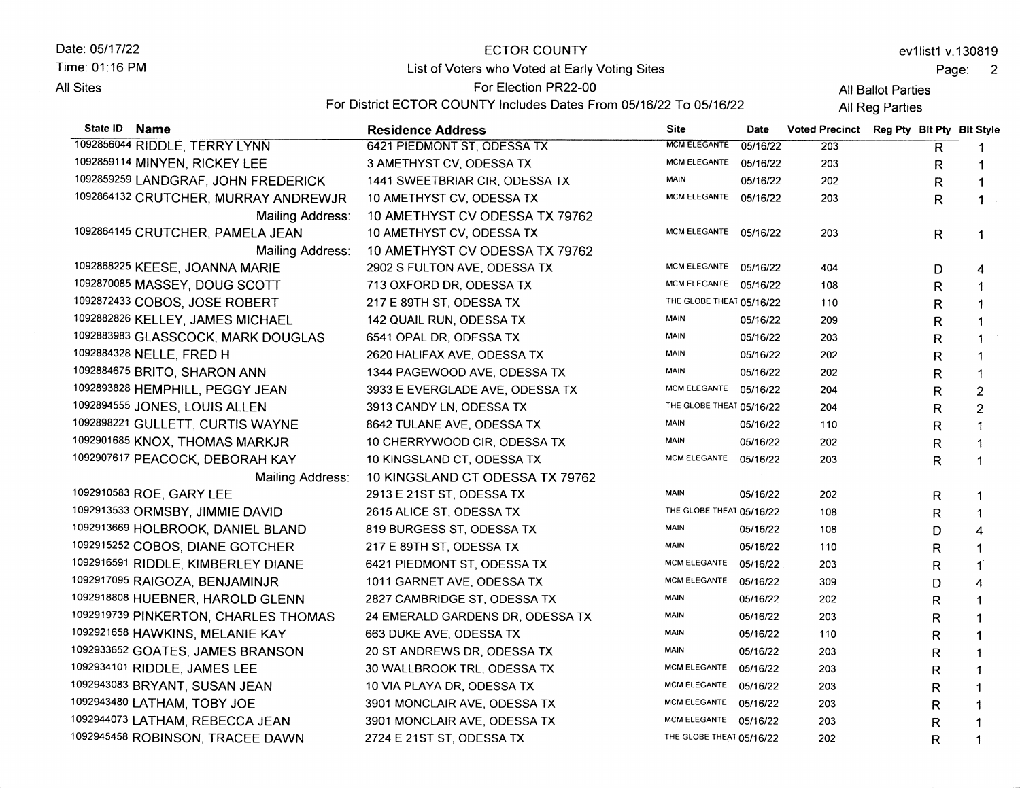| Date: 05/17/22                                                                                                                                                                                                                                                                                                                                       | ECTOR COUNTY                                                       |                     |          |                         |                           |   | ev1list1 v.130819 |
|------------------------------------------------------------------------------------------------------------------------------------------------------------------------------------------------------------------------------------------------------------------------------------------------------------------------------------------------------|--------------------------------------------------------------------|---------------------|----------|-------------------------|---------------------------|---|-------------------|
| Time: 01:16 PM                                                                                                                                                                                                                                                                                                                                       | List of Voters who Voted at Early Voting Sites                     |                     |          | Page:<br>$\overline{2}$ |                           |   |                   |
| All Sites                                                                                                                                                                                                                                                                                                                                            | For Election PR22-00                                               |                     |          | All Ballot Parties      |                           |   |                   |
|                                                                                                                                                                                                                                                                                                                                                      | For District ECTOR COUNTY Includes Dates From 05/16/22 To 05/16/22 |                     |          | All Reg Parties         |                           |   |                   |
| State ID<br><b>Name</b>                                                                                                                                                                                                                                                                                                                              | <b>Residence Address</b>                                           | <b>Site</b>         | Date     | <b>Voted Precinct</b>   | Reg Pty Bit Pty Bit Style |   |                   |
| 1092856044 RIDDLE, TERRY LYNN                                                                                                                                                                                                                                                                                                                        | 6421 PIEDMONT ST, ODESSA TX                                        | <b>MCM ELEGANTE</b> | 05/16/22 | 203                     |                           | R |                   |
| 1092859114 MINYEN, RICKEY LEE                                                                                                                                                                                                                                                                                                                        | 3 AMETHYST CV, ODESSA TX                                           | <b>MCM ELEGANTE</b> | 05/16/22 | 203                     |                           | R |                   |
| 1092859259 LANDGRAF, JOHN FREDERICK                                                                                                                                                                                                                                                                                                                  | 1441 SWEETBRIAR CIR, ODESSA TX                                     | MAIN                | 05/16/22 | 202                     |                           | R |                   |
| 1092864132 CRUTCHER, MURRAY ANDREWJR                                                                                                                                                                                                                                                                                                                 | 10 AMETHYST CV, ODESSA TX                                          | <b>MCM ELEGANTE</b> | 05/16/22 | 203                     |                           | R |                   |
| Mailing Address:                                                                                                                                                                                                                                                                                                                                     | 10 AMETHYST CV ODESSA TX 79762                                     |                     |          |                         |                           |   |                   |
| 1092864145 CRUTCHER, PAMELA JEAN                                                                                                                                                                                                                                                                                                                     | 10 AMETHYST CV, ODESSA TX                                          | MCM ELEGANTE        | 05/16/22 | 203                     |                           | R |                   |
| Mailing Address:                                                                                                                                                                                                                                                                                                                                     | 10 AMETHYST CV ODESSA TX 79762                                     |                     |          |                         |                           |   |                   |
| 1003969335 $\mathcal{L}$ $\mathcal{L}$ $\mathcal{L}$ $\mathcal{L}$ $\mathcal{L}$ $\mathcal{L}$ $\mathcal{L}$ $\mathcal{L}$ $\mathcal{L}$ $\mathcal{L}$ $\mathcal{L}$ $\mathcal{L}$ $\mathcal{L}$ $\mathcal{L}$ $\mathcal{L}$ $\mathcal{L}$ $\mathcal{L}$ $\mathcal{L}$ $\mathcal{L}$ $\mathcal{L}$ $\mathcal{L}$ $\mathcal{L}$ $\mathcal{L}$ $\math$ |                                                                    | $\mathbf{1}$        |          |                         |                           |   |                   |

| Malilly Address.                     | IU AMEINI DI UV UDESSA IA 79702  |                |
|--------------------------------------|----------------------------------|----------------|
| 1092864145 CRUTCHER, PAMELA JEAN     | 10 AMETHYST CV, ODESSA TX        | <b>MCM ELI</b> |
| Mailing Address:                     | 10 AMETHYST CV ODESSA TX 79762   |                |
| 1092868225 KEESE, JOANNA MARIE       | 2902 S FULTON AVE, ODESSA TX     | <b>MCM ELI</b> |
| 1092870085 MASSEY, DOUG SCOTT        | 713 OXFORD DR, ODESSA TX         | <b>MCM ELI</b> |
| 1092872433 COBOS, JOSE ROBERT        | 217 E 89TH ST, ODESSA TX         | THE GLO        |
| 1092882826 KELLEY, JAMES MICHAEL     | 142 QUAIL RUN, ODESSA TX         | <b>MAIN</b>    |
| 1092883983 GLASSCOCK, MARK DOUGLAS   | 6541 OPAL DR, ODESSA TX          | <b>MAIN</b>    |
| 1092884328 NELLE, FRED H             | 2620 HALIFAX AVE, ODESSA TX      | <b>MAIN</b>    |
| 1092884675 BRITO, SHARON ANN         | 1344 PAGEWOOD AVE, ODESSA TX     | <b>MAIN</b>    |
| 1092893828 HEMPHILL, PEGGY JEAN      | 3933 E EVERGLADE AVE, ODESSA TX  | <b>MCM ELI</b> |
| 1092894555 JONES, LOUIS ALLEN        | 3913 CANDY LN, ODESSA TX         | THE GLC        |
| 1092898221 GULLETT, CURTIS WAYNE     | 8642 TULANE AVE, ODESSA TX       | <b>MAIN</b>    |
| 1092901685 KNOX, THOMAS MARKJR       | 10 CHERRYWOOD CIR, ODESSA TX     | MAIN           |
| 1092907617 PEACOCK, DEBORAH KAY      | 10 KINGSLAND CT, ODESSA TX       | <b>MCM ELE</b> |
| Mailing Address:                     | 10 KINGSLAND CT ODESSA TX 79762  |                |
| 1092910583 ROE, GARY LEE             | 2913 E 21ST ST, ODESSA TX        | <b>MAIN</b>    |
| 1092913533 ORMSBY, JIMMIE DAVID      | 2615 ALICE ST, ODESSA TX         | THE GLC        |
| 1092913669 HOLBROOK, DANIEL BLAND    | 819 BURGESS ST, ODESSA TX        | <b>MAIN</b>    |
| 1092915252 COBOS, DIANE GOTCHER      | 217 E 89TH ST, ODESSA TX         | <b>MAIN</b>    |
| 1092916591 RIDDLE, KIMBERLEY DIANE   | 6421 PIEDMONT ST, ODESSA TX      | <b>MCM ELE</b> |
| 1092917095 RAIGOZA, BENJAMINJR       | 1011 GARNET AVE, ODESSA TX       | <b>MCM ELE</b> |
| 1092918808 HUEBNER, HAROLD GLENN     | 2827 CAMBRIDGE ST, ODESSA TX     | <b>MAIN</b>    |
| 1092919739 PINKERTON, CHARLES THOMAS | 24 EMERALD GARDENS DR, ODESSA TX | <b>MAIN</b>    |
| 1092921658 HAWKINS, MELANIE KAY      | 663 DUKE AVE, ODESSA TX          | <b>MAIN</b>    |
| 1092933652 GOATES, JAMES BRANSON     | 20 ST ANDREWS DR, ODESSA TX      | <b>MAIN</b>    |
| 1092934101 RIDDLE, JAMES LEE         | 30 WALLBROOK TRL, ODESSA TX      | <b>MCM ELE</b> |
| 1092943083 BRYANT, SUSAN JEAN        | 10 VIA PLAYA DR, ODESSA TX       | MCM ELE        |
| 1092943480 LATHAM, TOBY JOE          | 3901 MONCLAIR AVE, ODESSA TX     | <b>MCM ELE</b> |
| 1092944073 LATHAM, REBECCA JEAN      | 3901 MONCLAIR AVE, ODESSA TX     | <b>MCM ELE</b> |
| 1092945458 ROBINSON, TRACEE DAWN     | 2724 E 21ST ST, ODESSA TX        | THE GLO        |

|                          | ,,,,,,,  | ᅩ◡ᄰ | π |                |
|--------------------------|----------|-----|---|----------------|
| <b>MCM ELEGANTE</b>      | 05/16/22 | 203 | R | 1              |
| MCM ELEGANTE             | 05/16/22 | 203 | R | 1              |
| MCM ELEGANTE             | 05/16/22 | 404 | D | 4              |
| <b>MCM ELEGANTE</b>      | 05/16/22 | 108 | R | 1              |
| THE GLOBE THEAT 05/16/22 |          | 110 | R | 1              |
| <b>MAIN</b>              | 05/16/22 | 209 | R | 1              |
| MAIN                     | 05/16/22 | 203 | R |                |
| MAIN                     | 05/16/22 | 202 | R | 1              |
| MAIN                     | 05/16/22 | 202 | R | 1              |
| <b>MCM ELEGANTE</b>      | 05/16/22 | 204 | R | $\overline{c}$ |
| THE GLOBE THEAT 05/16/22 |          | 204 | R | 2              |
| MAIN                     | 05/16/22 | 110 | R | 1              |
| MAIN                     | 05/16/22 | 202 | R | 1              |
| <b>MCM ELEGANTE</b>      | 05/16/22 | 203 | R | 1              |
|                          |          |     |   |                |
| <b>MAIN</b>              | 05/16/22 | 202 | R | 1              |
| THE GLOBE THEAT 05/16/22 |          | 108 | R | 1              |
| <b>MAIN</b>              | 05/16/22 | 108 | D | 4              |
| MAIN                     | 05/16/22 | 110 | R | 1              |
| <b>MCM ELEGANTE</b>      | 05/16/22 | 203 | R | 1              |
| MCM ELEGANTE             | 05/16/22 | 309 | D | 4              |
| MAIN                     | 05/16/22 | 202 | R | 1              |
| MAIN                     | 05/16/22 | 203 | R | 1              |
| MAIN                     | 05/16/22 | 110 | R | 1              |
| <b>MAIN</b>              | 05/16/22 | 203 | R | 1              |
| <b>MCM ELEGANTE</b>      | 05/16/22 | 203 | R | 1              |
| MCM ELEGANTE             | 05/16/22 | 203 | R | 1              |
| <b>MCM ELEGANTE</b>      | 05/16/22 | 203 | R | 1              |
| <b>MCM ELEGANTE</b>      | 05/16/22 | 203 | R | 1              |
| THE GLOBE THEAT 05/16/22 |          | 202 | R | 1              |
|                          |          |     |   |                |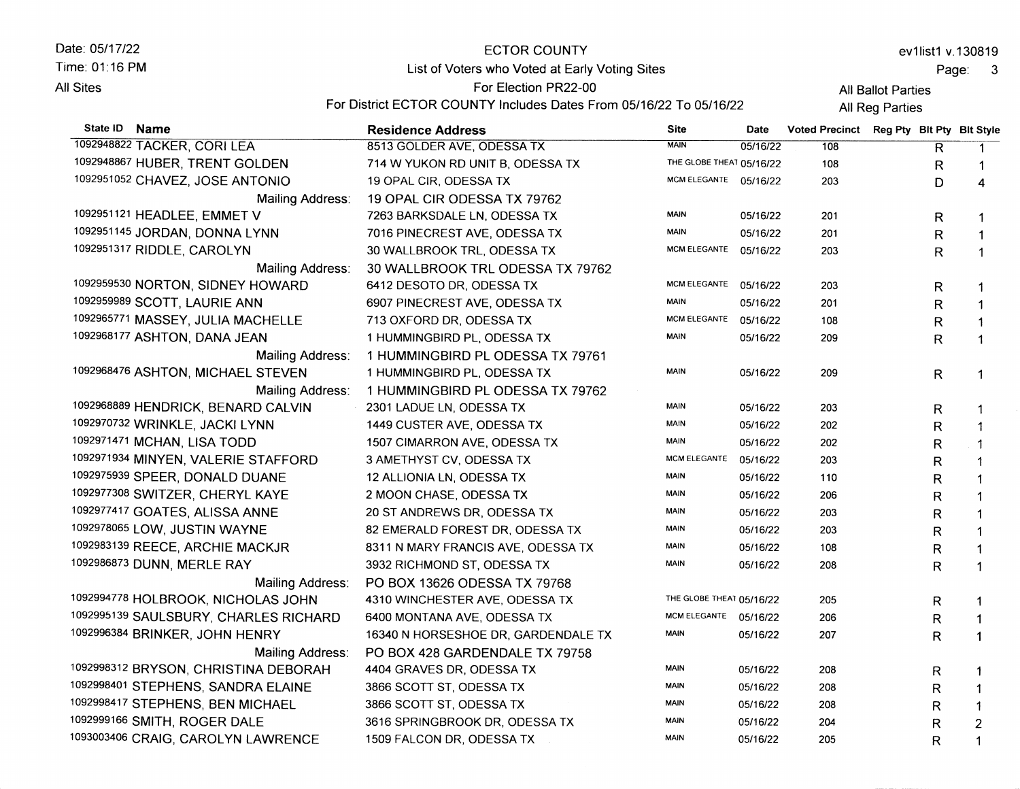Date: 05/17/22 Time: 01:16 PM **All Sites** 

## ECTOR COUNTY List of Voters who Voted at Early Voting Sites

ev1list1 v.130819

Page: <sup>3</sup>

All Ballot Parties

For District ECTOR COUNTY Includes Dates From 05/16/22 To 05/16/22

For Election PR22-00

**All Reg Parties** 

| State ID<br><b>Name</b>               | <b>Residence Address</b>            | <b>Site</b>              | Date     | Voted Precinct Reg Pty Blt Pty Blt Style |              |                |
|---------------------------------------|-------------------------------------|--------------------------|----------|------------------------------------------|--------------|----------------|
| 1092948822 TACKER, CORI LEA           | 8513 GOLDER AVE, ODESSA TX          | <b>MAIN</b>              | 05/16/22 | 108                                      | R            | -1             |
| 1092948867 HUBER, TRENT GOLDEN        | 714 W YUKON RD UNIT B, ODESSA TX    | THE GLOBE THEAT 05/16/22 |          | 108                                      | $\mathsf R$  | $\mathbf 1$    |
| 1092951052 CHAVEZ, JOSE ANTONIO       | 19 OPAL CIR, ODESSA TX              | MCM ELEGANTE 05/16/22    |          | 203                                      | D            | 4              |
| Mailing Address:                      | 19 OPAL CIR ODESSA TX 79762         |                          |          |                                          |              |                |
| 1092951121 HEADLEE, EMMET V           | 7263 BARKSDALE LN, ODESSA TX        | <b>MAIN</b>              | 05/16/22 | 201                                      | R            | -1             |
| 1092951145 JORDAN, DONNA LYNN         | 7016 PINECREST AVE, ODESSA TX       | <b>MAIN</b>              | 05/16/22 | 201                                      | $\mathsf{R}$ | $\mathbf{1}$   |
| 1092951317 RIDDLE, CAROLYN            | 30 WALLBROOK TRL, ODESSA TX         | MCM ELEGANTE 05/16/22    |          | 203                                      | $\mathsf{R}$ | $\mathbf{1}$   |
| Mailing Address:                      | 30 WALLBROOK TRL ODESSA TX 79762    |                          |          |                                          |              |                |
| 1092959530 NORTON, SIDNEY HOWARD      | 6412 DESOTO DR, ODESSA TX           | MCM ELEGANTE             | 05/16/22 | 203                                      | R.           | 1              |
| 1092959989 SCOTT, LAURIE ANN          | 6907 PINECREST AVE, ODESSA TX       | <b>MAIN</b>              | 05/16/22 | 201                                      | R            | $\mathbf{1}$   |
| 1092965771 MASSEY, JULIA MACHELLE     | 713 OXFORD DR, ODESSA TX            | MCM ELEGANTE             | 05/16/22 | 108                                      | R            | 1              |
| 1092968177 ASHTON, DANA JEAN          | 1 HUMMINGBIRD PL, ODESSA TX         | <b>MAIN</b>              | 05/16/22 | 209                                      | R            | 1              |
| Mailing Address:                      | 1 HUMMINGBIRD PL ODESSA TX 79761    |                          |          |                                          |              |                |
| 1092968476 ASHTON, MICHAEL STEVEN     | 1 HUMMINGBIRD PL, ODESSA TX         | <b>MAIN</b>              | 05/16/22 | 209                                      | R.           | $\mathbf 1$    |
| Mailing Address:                      | 1 HUMMINGBIRD PL ODESSA TX 79762    |                          |          |                                          |              |                |
| 1092968889 HENDRICK, BENARD CALVIN    | 2301 LADUE LN, ODESSA TX            | <b>MAIN</b>              | 05/16/22 | 203                                      | R            |                |
| 1092970732 WRINKLE, JACKI LYNN        | 1449 CUSTER AVE, ODESSA TX          | <b>MAIN</b>              | 05/16/22 | 202                                      | $\mathsf R$  |                |
| 1092971471 MCHAN, LISA TODD           | 1507 CIMARRON AVE, ODESSA TX        | <b>MAIN</b>              | 05/16/22 | 202                                      | R            | $\mathbf 1$    |
| 1092971934 MINYEN, VALERIE STAFFORD   | 3 AMETHYST CV, ODESSA TX            | MCM ELEGANTE             | 05/16/22 | 203                                      | R            | $\mathbf 1$    |
| 1092975939 SPEER, DONALD DUANE        | 12 ALLIONIA LN, ODESSA TX           | <b>MAIN</b>              | 05/16/22 | 110                                      | R            | 1              |
| 1092977308 SWITZER, CHERYL KAYE       | 2 MOON CHASE, ODESSA TX             | MAIN                     | 05/16/22 | 206                                      | R            | 1              |
| 1092977417 GOATES, ALISSA ANNE        | 20 ST ANDREWS DR, ODESSA TX         | <b>MAIN</b>              | 05/16/22 | 203                                      | R            | 1              |
| 1092978065 LOW, JUSTIN WAYNE          | 82 EMERALD FOREST DR, ODESSA TX     | MAIN                     | 05/16/22 | 203                                      | R            | $\mathbf{1}$   |
| 1092983139 REECE, ARCHIE MACKJR       | 8311 N MARY FRANCIS AVE, ODESSA TX  | <b>MAIN</b>              | 05/16/22 | 108                                      | R            | 1              |
| 1092986873 DUNN, MERLE RAY            | 3932 RICHMOND ST, ODESSA TX         | <b>MAIN</b>              | 05/16/22 | 208                                      | R            | 1              |
| Mailing Address:                      | PO BOX 13626 ODESSA TX 79768        |                          |          |                                          |              |                |
| 1092994778 HOLBROOK, NICHOLAS JOHN    | 4310 WINCHESTER AVE, ODESSA TX      | THE GLOBE THEAT 05/16/22 |          | 205                                      | R.           | 1              |
| 1092995139 SAULSBURY, CHARLES RICHARD | 6400 MONTANA AVE, ODESSA TX         | MCM ELEGANTE 05/16/22    |          | 206                                      | R            | 1              |
| 1092996384 BRINKER, JOHN HENRY        | 16340 N HORSESHOE DR, GARDENDALE TX | <b>MAIN</b>              | 05/16/22 | 207                                      | R            | $\mathbf 1$    |
| Mailing Address:                      | PO BOX 428 GARDENDALE TX 79758      |                          |          |                                          |              |                |
| 1092998312 BRYSON, CHRISTINA DEBORAH  | 4404 GRAVES DR, ODESSA TX           | <b>MAIN</b>              | 05/16/22 | 208                                      | R            | 1              |
| 1092998401 STEPHENS, SANDRA ELAINE    | 3866 SCOTT ST, ODESSA TX            | <b>MAIN</b>              | 05/16/22 | 208                                      | R            | -1             |
| 1092998417 STEPHENS, BEN MICHAEL      | 3866 SCOTT ST, ODESSA TX            | <b>MAIN</b>              | 05/16/22 | 208                                      | R            | $\mathbf 1$    |
| 1092999166 SMITH, ROGER DALE          | 3616 SPRINGBROOK DR, ODESSA TX      | MAIN                     | 05/16/22 | 204                                      | R            | $\overline{2}$ |
| 1093003406 CRAIG, CAROLYN LAWRENCE    | 1509 FALCON DR, ODESSA TX           | MAIN                     | 05/16/22 | 205                                      | R            | $\mathbf 1$    |
|                                       |                                     |                          |          |                                          |              |                |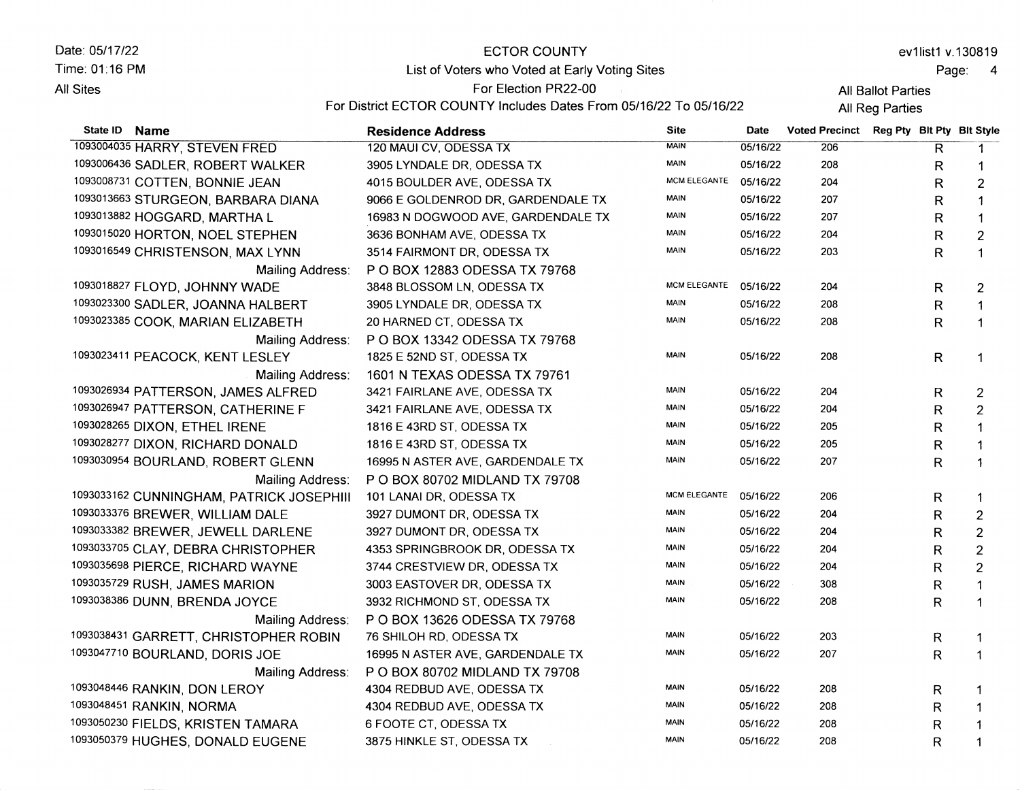| Date: 05/17/22                   | ECTOR COUNTY                                                       |                 |           | ev1list1 v.130819                        |  |              |  |  |
|----------------------------------|--------------------------------------------------------------------|-----------------|-----------|------------------------------------------|--|--------------|--|--|
| Time: 01:16 PM                   | List of Voters who Voted at Early Voting Sites                     |                 |           | Page:<br>$\overline{4}$                  |  |              |  |  |
| All Sites                        | For Election PR22-00                                               |                 |           | All Ballot Parties                       |  |              |  |  |
|                                  | For District ECTOR COUNTY Includes Dates From 05/16/22 To 05/16/22 | All Reg Parties |           |                                          |  |              |  |  |
| State ID<br><b>Name</b>          | <b>Residence Address</b>                                           | <b>Site</b>     | Date      | Voted Precinct Reg Pty Blt Pty Blt Style |  |              |  |  |
| 1093004035 HARRY, STEVEN FRED    | 120 MAUI CV, ODESSA TX                                             | <b>MAIN</b>     | 05/16/22  | 206                                      |  | R            |  |  |
| 1003006436 CADI ED DODEDT WALKED | 2005 I VILLALE DD. ODECCA TV                                       | <b>MAIN</b>     | 0.5116122 | nno.                                     |  | <sub>n</sub> |  |  |

| 1093006436 SADLER, ROBERT WALKER         | 3905 LYNDALE DR, ODESSA TX         | MAIN         | 05/16/22 | 208 | R            | -1             |
|------------------------------------------|------------------------------------|--------------|----------|-----|--------------|----------------|
| 1093008731 COTTEN, BONNIE JEAN           | 4015 BOULDER AVE, ODESSA TX        | MCM ELEGANTE | 05/16/22 | 204 | $\mathsf{R}$ | $\overline{2}$ |
| 1093013663 STURGEON, BARBARA DIANA       | 9066 E GOLDENROD DR, GARDENDALE TX | <b>MAIN</b>  | 05/16/22 | 207 | R            |                |
| 1093013882 HOGGARD, MARTHA L             | 16983 N DOGWOOD AVE, GARDENDALE TX | <b>MAIN</b>  | 05/16/22 | 207 | R            | $\mathbf 1$    |
| 1093015020 HORTON, NOEL STEPHEN          | 3636 BONHAM AVE, ODESSA TX         | MAIN         | 05/16/22 | 204 | R            | $\overline{2}$ |
| 1093016549 CHRISTENSON, MAX LYNN         | 3514 FAIRMONT DR, ODESSA TX        | MAIN         | 05/16/22 | 203 | R            | $\mathbf 1$    |
| Mailing Address:                         | P O BOX 12883 ODESSA TX 79768      |              |          |     |              |                |
| 1093018827 FLOYD, JOHNNY WADE            | 3848 BLOSSOM LN, ODESSA TX         | MCM ELEGANTE | 05/16/22 | 204 | R            | $\overline{c}$ |
| 1093023300 SADLER, JOANNA HALBERT        | 3905 LYNDALE DR, ODESSA TX         | MAIN         | 05/16/22 | 208 | R            | 1              |
| 1093023385 COOK, MARIAN ELIZABETH        | 20 HARNED CT, ODESSA TX            | <b>MAIN</b>  | 05/16/22 | 208 | R            | 1              |
| Mailing Address:                         | P O BOX 13342 ODESSA TX 79768      |              |          |     |              |                |
| 1093023411 PEACOCK, KENT LESLEY          | 1825 E 52ND ST, ODESSA TX          | <b>MAIN</b>  | 05/16/22 | 208 | R            | $\mathbf 1$    |
| Mailing Address:                         | 1601 N TEXAS ODESSA TX 79761       |              |          |     |              |                |
| 1093026934 PATTERSON, JAMES ALFRED       | 3421 FAIRLANE AVE, ODESSA TX       | MAIN         | 05/16/22 | 204 | R            | $\overline{c}$ |
| 1093026947 PATTERSON, CATHERINE F        | 3421 FAIRLANE AVE, ODESSA TX       | <b>MAIN</b>  | 05/16/22 | 204 | R            | $\overline{2}$ |
| 1093028265 DIXON, ETHEL IRENE            | 1816 E 43RD ST, ODESSA TX          | <b>MAIN</b>  | 05/16/22 | 205 | R            | $\mathbf{1}$   |
| 1093028277 DIXON, RICHARD DONALD         | 1816 E 43RD ST, ODESSA TX          | <b>MAIN</b>  | 05/16/22 | 205 | R            | 1              |
| 1093030954 BOURLAND, ROBERT GLENN        | 16995 N ASTER AVE, GARDENDALE TX   | <b>MAIN</b>  | 05/16/22 | 207 | R            | $\mathbf 1$    |
| Mailing Address:                         | P O BOX 80702 MIDLAND TX 79708     |              |          |     |              |                |
| 1093033162 CUNNINGHAM, PATRICK JOSEPHIII | 101 LANAI DR, ODESSA TX            | MCM ELEGANTE | 05/16/22 | 206 | R            | $\mathbf{1}$   |
| 1093033376 BREWER, WILLIAM DALE          | 3927 DUMONT DR, ODESSA TX          | <b>MAIN</b>  | 05/16/22 | 204 | $\mathsf R$  | $\overline{c}$ |
| 1093033382 BREWER, JEWELL DARLENE        | 3927 DUMONT DR, ODESSA TX          | MAIN         | 05/16/22 | 204 | R            | $\overline{c}$ |
| 1093033705 CLAY, DEBRA CHRISTOPHER       | 4353 SPRINGBROOK DR, ODESSA TX     | <b>MAIN</b>  | 05/16/22 | 204 | R            | $\overline{2}$ |
| 1093035698 PIERCE, RICHARD WAYNE         | 3744 CRESTVIEW DR, ODESSA TX       | <b>MAIN</b>  | 05/16/22 | 204 | R            | $\overline{c}$ |
| 1093035729 RUSH, JAMES MARION            | 3003 EASTOVER DR, ODESSA TX        | MAIN         | 05/16/22 | 308 | R            |                |
| 1093038386 DUNN, BRENDA JOYCE            | 3932 RICHMOND ST, ODESSA TX        | MAIN         | 05/16/22 | 208 | $\mathsf{R}$ | 1              |
| Mailing Address:                         | P O BOX 13626 ODESSA TX 79768      |              |          |     |              |                |
| 1093038431 GARRETT, CHRISTOPHER ROBIN    | 76 SHILOH RD, ODESSA TX            | <b>MAIN</b>  | 05/16/22 | 203 | R.           | 1              |
| 1093047710 BOURLAND, DORIS JOE           | 16995 N ASTER AVE, GARDENDALE TX   | <b>MAIN</b>  | 05/16/22 | 207 | R            | 1              |
| Mailing Address:                         | P O BOX 80702 MIDLAND TX 79708     |              |          |     |              |                |
| 1093048446 RANKIN, DON LEROY             | 4304 REDBUD AVE, ODESSA TX         | <b>MAIN</b>  | 05/16/22 | 208 | R            | 1              |
| 1093048451 RANKIN, NORMA                 | 4304 REDBUD AVE, ODESSA TX         | <b>MAIN</b>  | 05/16/22 | 208 | R            | 1              |
| 1093050230 FIELDS, KRISTEN TAMARA        | 6 FOOTE CT, ODESSA TX              | <b>MAIN</b>  | 05/16/22 | 208 | R            | 1              |
| 1093050379 HUGHES, DONALD EUGENE         | 3875 HINKLE ST, ODESSA TX          | MAIN         | 05/16/22 | 208 | R            | 1              |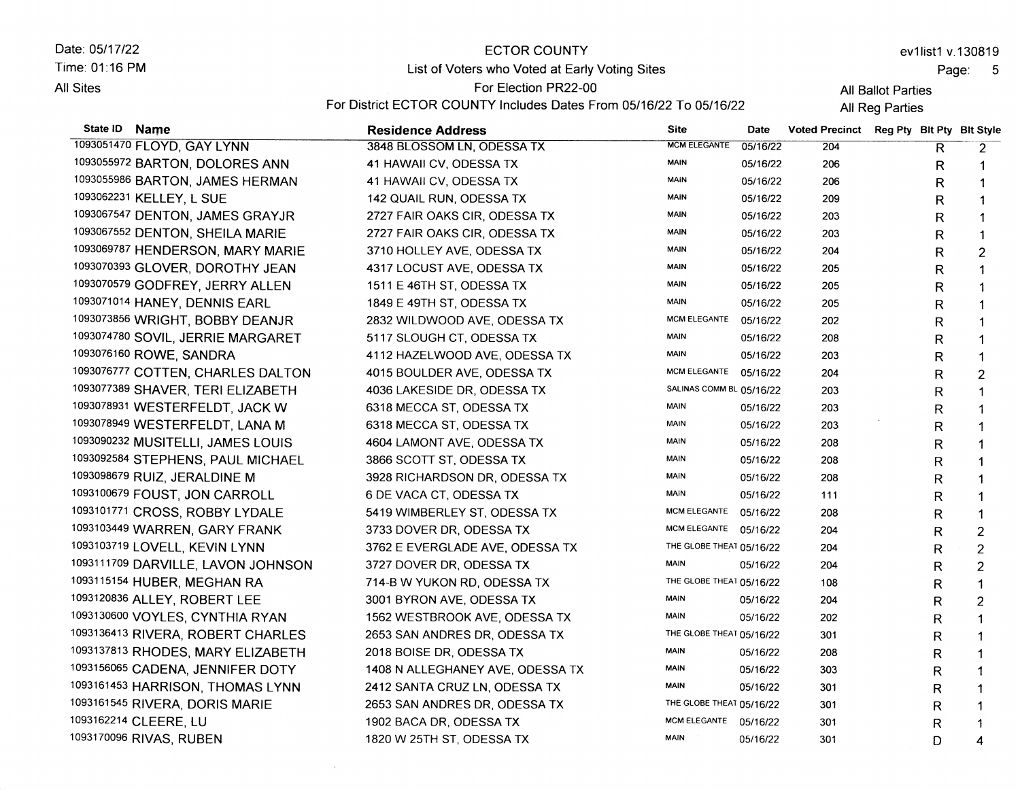Date: 05/17/22 Time.01:16 PM **All Sites** State **ID** Name ECTOR COUNTY List of Voters who Voted at Early Voting Sites For Election PR22-00 For District ECTOR COUNTY Includes Dates From 05/16/22 To 05/16/22 Residence Address and Date Date Date Date Date Date ev1list1 v.130819 All Ballot Parties All Reg Parties Voted Precinct Reg Pty Blt Pty Blt Style 10s3051470 FLOYD, GAY LYNN 3848 BLOSSOM LN, ODESSA TX MCM ELEGANTE 05/16/22 204  $\overline{\mathsf{R}}$ 

10s3055s72 BARTON, DOLORES ANN 1093055986 BARTON, JAMES HERMAN 1oe3o62231 KELLEY, L SUE 10ss067547 DENTON, JAMES GRAYJR 1093067552 DENTON, SHEILA MARIE 10s306e787 HENDERSON, MARY MARIE 1093070393 GLOVER, DOROTHY JEAN 1093070579 GODFREY, JERRY ALLEN 1093071014 HANEY, DENNIS EARL 10s30738s6 WR|GHT, BOBBY DEANJR 1093074780 SOVIL, JERRIE MARGARET 10s3076160 ROWE, SANDRA 1093076777 COTTEN, CHARLES DALTON 10e307738e SHAVER, TERI ELIZABETH 1093078931 WESTERFELDT, JACK W 1093078949 WESTERFELDT, LANA M 10s30e0232 MUSITELL|, JAMES LOUIS 1093092584 STEPHENS, PAUL MICHAEL 1093098679 RUIZ, JERALDINE M 10s310067e FOUST, JON CARROLL 10s3101771 CROSS, ROBBY LYDALE 1093103449 WARREN, GARY FRANK 1093103719 LOVELL, KEVIN LYNN 1093111709 DARVILLE, LAVON JOHNSON 10s3115154 HUBER, MEGHAN RA 10s3120836 ALLEY, ROBERT LEE 1093130600 VOYLES, CYNTHIA RYAN 10e3136413 RIVERA, ROBERT CHARLES 1093137813 RHODES, MARY ELIZABETH 1093156065 CADENA, JENNIFER DOTY 10s3161453 HARR|SON, THOMAS LYNN 1093161545 RIVERA, DORIS MARIE 1093162214 CLEERE, LU 10e31 700e6 RlvAS, RUBEN 41 HAWAII CV, ODESSA TX 41 HAWAII CV, ODESSA TX 142 QUAIL RUN, ODESSA TX 2727 FAIR OAKS CIR, ODESSA TX 2727 FAIR OAKS CIR, ODESSA TX 3710 HOLLEY AVE, ODESSA TX 4317 LOCUST AVE, ODESSA TX 1511 E46TH ST, ODESSATX 1849 E 49TH ST, ODESSA TX 2832 WILDWOOD AVE, ODESSA TX 5117 SLOUGH CT, ODESSATX 4112HAZELWOOD AVE, ODESSA TX 4015 BOULDER AVE, ODESSA TX 4036 LAKESIDE DR, ODESSA TX 6318 MECCA ST, ODESSA TX 6318 MECCA ST, ODESSA TX 4604 LAMONT AVE, ODESSA TX 3866 SCOTT ST, ODESSA TX 3928 RICHARDSON DR, ODESSA TX 6 DE VACA CT, ODESSA TX 5419 WIMBERLEY ST, ODESSA TX 3733 DOVER DR, ODESSA TX 3762 E EVERGLADE AVE, ODESSA TX 3727 DOVER DR, ODESSA TX 714-8W YUKON RD, ODESSA TX 3OO1 BYRON AVE, ODESSATX 1562 WESTBROOK AVE, ODESSA TX 2653 SAN ANDRES DR, ODESSA TX 2018 BOISE DR, ODESSATX 1408 N ALLEGHANEY AVE, ODESSA TX 2412 SANTA CRUZ LN, ODESSA TX 2653 SAN ANDRES DR, ODESSA TX 1902 BACA DR, ODESSA TX 1820 W 25TH ST, ODESSA TX MAIN 05/16/22 MAIN 05/16/22 MAIN 05/16/22 MAIN 05/16/22 MAIN 05/16/22 MAIN 05/16/22 MAIN 05/16/22 MAIN 05/16/22 MAIN 05/16/22 MCM ELEGANTE 05/16/22 MAIN 05/16/22 MAIN 05/16/22 MCM ELEGANTE 05/16/22 SALINAS COMM BL 05/16/22 MAIN 05/16/22 MAIN 05/16/22 MAIN 05/16/22 MAIN 05/16/22 MAIN 05/16/22 MAIN 05/16/22 McM ELEGANTE 05116122 MCM ELEGANTE 05/16/22 THE GLOBE THEAT 05/16/22 MAIN 05/16/22 THE GLOBE THEAT 05/16/22 MAIN 05/16/22 MAIN 05/16/22 THE GLOBE THEAT 05/16/22 MAIN 05/16/22 MAIN 05/16/22 MAIN 05/16/22 THE GLOBE THEAT 05/16/22 MCM ELEGANTE 05/16/22 MAIN 05/16/22 206 206 209 203 203 204 205 205 205 202 208 203 204 203 203 203 208 208 208 111 208 204 204 204 108 204 202 301 208 303 301 301 301 301 R R R R R R R R R R R R R R R R R R R R R R R R R R R R R R R R R  $\mathsf{D}$ 

## Page: 5